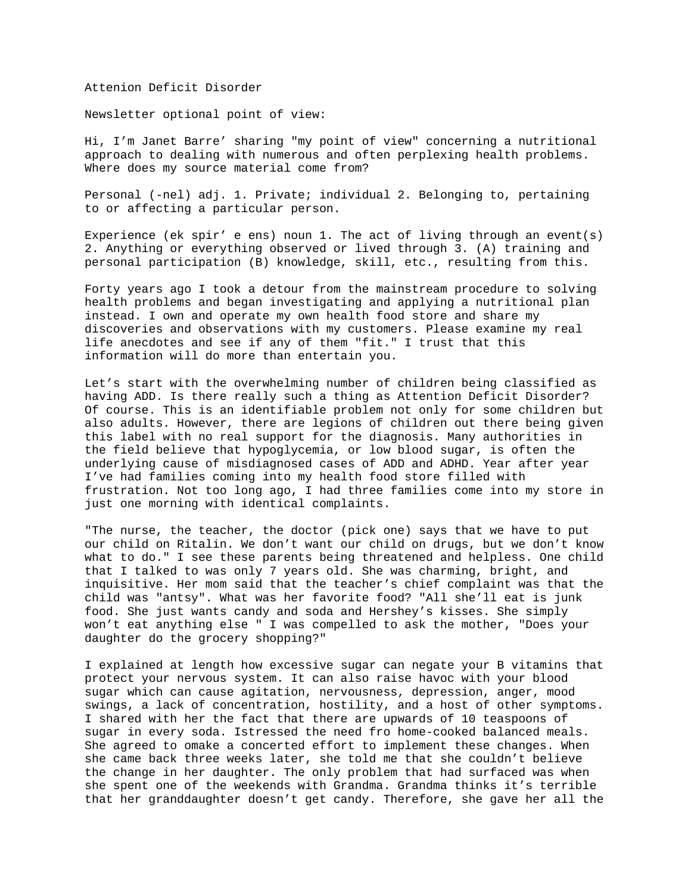## Attenion Deficit Disorder

Newsletter optional point of view:

Hi, I'm Janet Barre' sharing "my point of view" concerning a nutritional approach to dealing with numerous and often perplexing health problems. Where does my source material come from?

Personal (-nel) adj. 1. Private; individual 2. Belonging to, pertaining to or affecting a particular person.

Experience (ek spir' e ens) noun 1. The act of living through an event(s) 2. Anything or everything observed or lived through 3. (A) training and personal participation (B) knowledge, skill, etc., resulting from this.

Forty years ago I took a detour from the mainstream procedure to solving health problems and began investigating and applying a nutritional plan instead. I own and operate my own health food store and share my discoveries and observations with my customers. Please examine my real life anecdotes and see if any of them "fit." I trust that this information will do more than entertain you.

Let's start with the overwhelming number of children being classified as having ADD. Is there really such a thing as Attention Deficit Disorder? Of course. This is an identifiable problem not only for some children but also adults. However, there are legions of children out there being given this label with no real support for the diagnosis. Many authorities in the field believe that hypoglycemia, or low blood sugar, is often the underlying cause of misdiagnosed cases of ADD and ADHD. Year after year I've had families coming into my health food store filled with frustration. Not too long ago, I had three families come into my store in just one morning with identical complaints.

"The nurse, the teacher, the doctor (pick one) says that we have to put our child on Ritalin. We don't want our child on drugs, but we don't know what to do." I see these parents being threatened and helpless. One child that I talked to was only 7 years old. She was charming, bright, and inquisitive. Her mom said that the teacher's chief complaint was that the child was "antsy". What was her favorite food? "All she'll eat is junk food. She just wants candy and soda and Hershey's kisses. She simply won't eat anything else " I was compelled to ask the mother, "Does your daughter do the grocery shopping?"

I explained at length how excessive sugar can negate your B vitamins that protect your nervous system. It can also raise havoc with your blood sugar which can cause agitation, nervousness, depression, anger, mood swings, a lack of concentration, hostility, and a host of other symptoms. I shared with her the fact that there are upwards of 10 teaspoons of sugar in every soda. Istressed the need fro home-cooked balanced meals. She agreed to omake a concerted effort to implement these changes. When she came back three weeks later, she told me that she couldn't believe the change in her daughter. The only problem that had surfaced was when she spent one of the weekends with Grandma. Grandma thinks it's terrible that her granddaughter doesn't get candy. Therefore, she gave her all the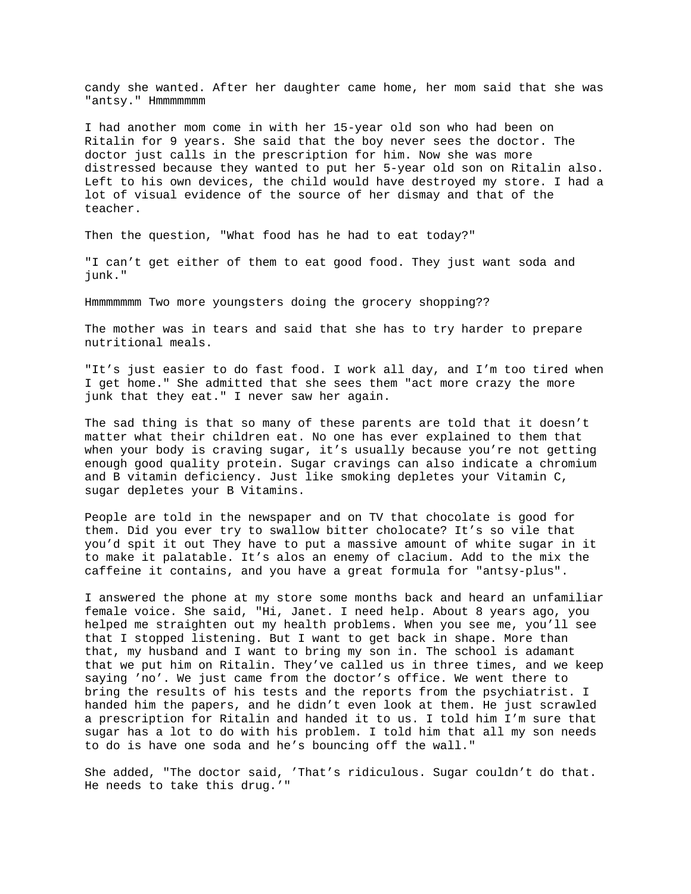candy she wanted. After her daughter came home, her mom said that she was "antsy." Hmmmmmmm

I had another mom come in with her 15-year old son who had been on Ritalin for 9 years. She said that the boy never sees the doctor. The doctor just calls in the prescription for him. Now she was more distressed because they wanted to put her 5-year old son on Ritalin also. Left to his own devices, the child would have destroyed my store. I had a lot of visual evidence of the source of her dismay and that of the teacher.

Then the question, "What food has he had to eat today?"

"I can't get either of them to eat good food. They just want soda and junk."

Hmmmmmmm Two more youngsters doing the grocery shopping??

The mother was in tears and said that she has to try harder to prepare nutritional meals.

"It's just easier to do fast food. I work all day, and I'm too tired when I get home." She admitted that she sees them "act more crazy the more junk that they eat." I never saw her again.

The sad thing is that so many of these parents are told that it doesn't matter what their children eat. No one has ever explained to them that when your body is craving sugar, it's usually because you're not getting enough good quality protein. Sugar cravings can also indicate a chromium and B vitamin deficiency. Just like smoking depletes your Vitamin C, sugar depletes your B Vitamins.

People are told in the newspaper and on TV that chocolate is good for them. Did you ever try to swallow bitter cholocate? It's so vile that you'd spit it out They have to put a massive amount of white sugar in it to make it palatable. It's alos an enemy of clacium. Add to the mix the caffeine it contains, and you have a great formula for "antsy-plus".

I answered the phone at my store some months back and heard an unfamiliar female voice. She said, "Hi, Janet. I need help. About 8 years ago, you helped me straighten out my health problems. When you see me, you'll see that I stopped listening. But I want to get back in shape. More than that, my husband and I want to bring my son in. The school is adamant that we put him on Ritalin. They've called us in three times, and we keep saying 'no'. We just came from the doctor's office. We went there to bring the results of his tests and the reports from the psychiatrist. I handed him the papers, and he didn't even look at them. He just scrawled a prescription for Ritalin and handed it to us. I told him I'm sure that sugar has a lot to do with his problem. I told him that all my son needs to do is have one soda and he's bouncing off the wall."

She added, "The doctor said, 'That's ridiculous. Sugar couldn't do that. He needs to take this drug.'"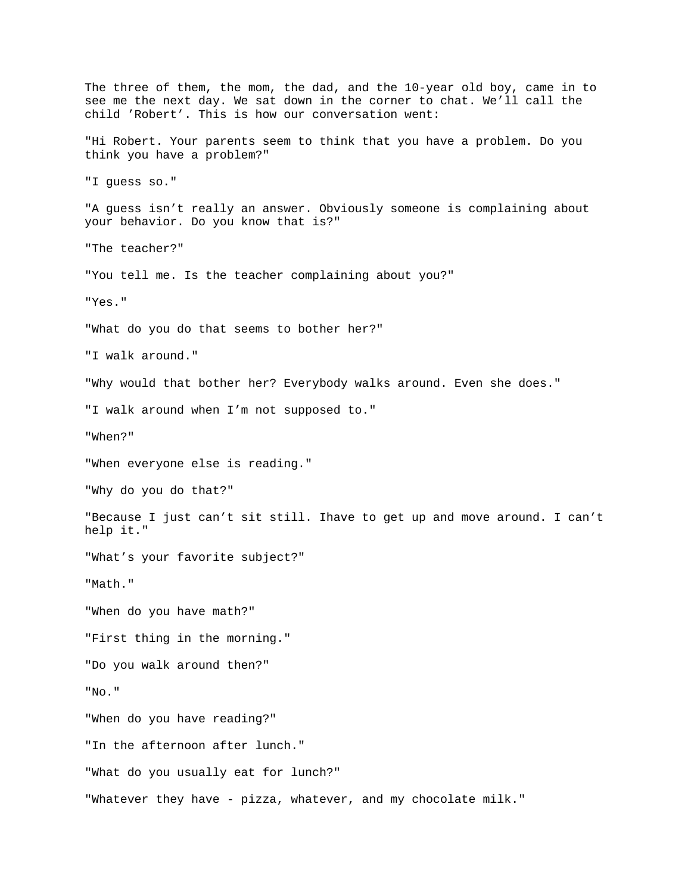The three of them, the mom, the dad, and the 10-year old boy, came in to see me the next day. We sat down in the corner to chat. We'll call the child 'Robert'. This is how our conversation went: "Hi Robert. Your parents seem to think that you have a problem. Do you think you have a problem?" "I guess so." "A guess isn't really an answer. Obviously someone is complaining about your behavior. Do you know that is?" "The teacher?" "You tell me. Is the teacher complaining about you?" "Yes." "What do you do that seems to bother her?" "I walk around." "Why would that bother her? Everybody walks around. Even she does." "I walk around when I'm not supposed to." "When?" "When everyone else is reading." "Why do you do that?" "Because I just can't sit still. Ihave to get up and move around. I can't help it." "What's your favorite subject?" "Math." "When do you have math?" "First thing in the morning." "Do you walk around then?" "No." "When do you have reading?" "In the afternoon after lunch." "What do you usually eat for lunch?" "Whatever they have - pizza, whatever, and my chocolate milk."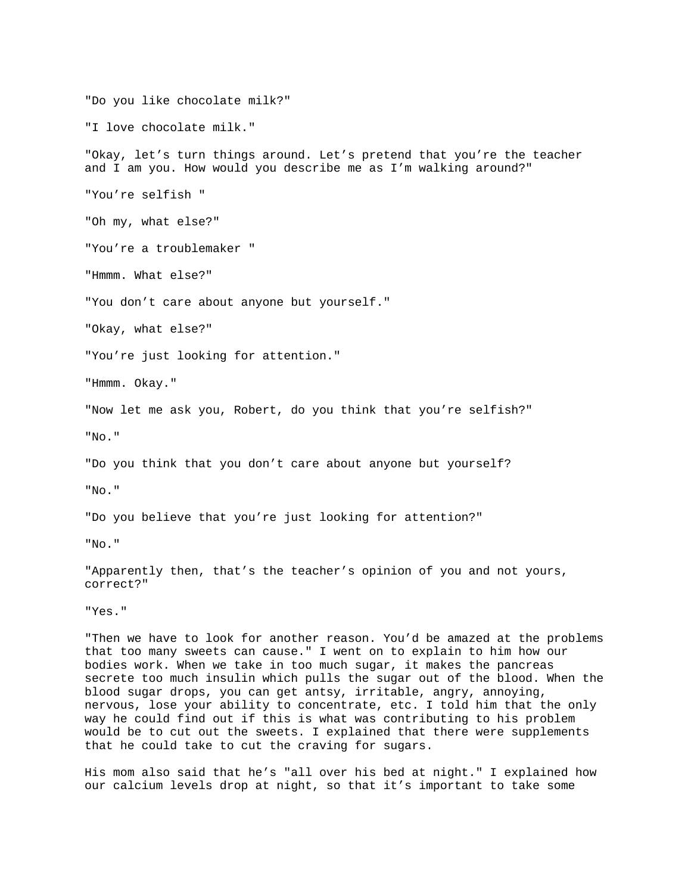"Do you like chocolate milk?"

"I love chocolate milk."

"Okay, let's turn things around. Let's pretend that you're the teacher and I am you. How would you describe me as I'm walking around?"

"You're selfish "

"Oh my, what else?"

"You're a troublemaker "

"Hmmm. What else?"

"You don't care about anyone but yourself."

"Okay, what else?"

"You're just looking for attention."

"Hmmm. Okay."

"Now let me ask you, Robert, do you think that you're selfish?"

"No."

"Do you think that you don't care about anyone but yourself?

"No."

"Do you believe that you're just looking for attention?"

"No."

"Apparently then, that's the teacher's opinion of you and not yours, correct?"

"Yes."

"Then we have to look for another reason. You'd be amazed at the problems that too many sweets can cause." I went on to explain to him how our bodies work. When we take in too much sugar, it makes the pancreas secrete too much insulin which pulls the sugar out of the blood. When the blood sugar drops, you can get antsy, irritable, angry, annoying, nervous, lose your ability to concentrate, etc. I told him that the only way he could find out if this is what was contributing to his problem would be to cut out the sweets. I explained that there were supplements that he could take to cut the craving for sugars.

His mom also said that he's "all over his bed at night." I explained how our calcium levels drop at night, so that it's important to take some